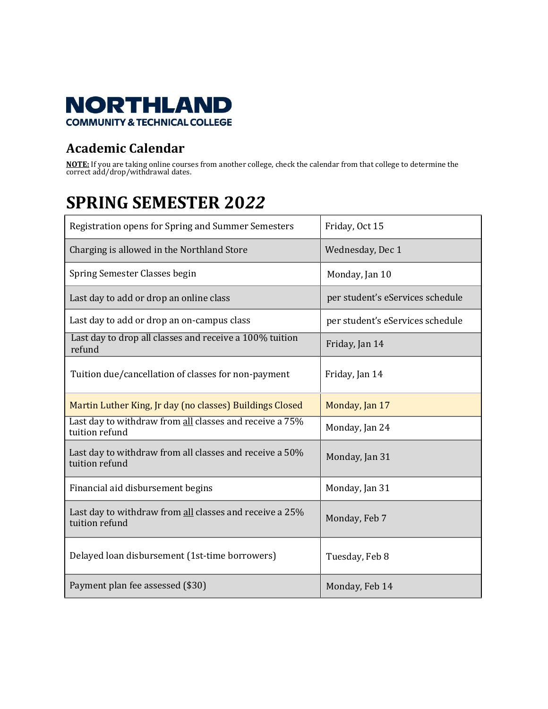

## **Academic Calendar**

**NOTE:** If you are taking online courses from another college, check the calendar from that college to determine the correct add/drop/withdrawal dates.

## **SPRING SEMESTER 20***22*

| Registration opens for Spring and Summer Semesters                        | Friday, Oct 15                   |
|---------------------------------------------------------------------------|----------------------------------|
| Charging is allowed in the Northland Store                                | Wednesday, Dec 1                 |
| Spring Semester Classes begin                                             | Monday, Jan 10                   |
| Last day to add or drop an online class                                   | per student's eServices schedule |
| Last day to add or drop an on-campus class                                | per student's eServices schedule |
| Last day to drop all classes and receive a 100% tuition<br>refund         | Friday, Jan 14                   |
| Tuition due/cancellation of classes for non-payment                       | Friday, Jan 14                   |
| Martin Luther King, Jr day (no classes) Buildings Closed                  | Monday, Jan 17                   |
| Last day to withdraw from all classes and receive a 75%<br>tuition refund | Monday, Jan 24                   |
| Last day to withdraw from all classes and receive a 50%<br>tuition refund | Monday, Jan 31                   |
| Financial aid disbursement begins                                         | Monday, Jan 31                   |
| Last day to withdraw from all classes and receive a 25%<br>tuition refund | Monday, Feb 7                    |
| Delayed loan disbursement (1st-time borrowers)                            | Tuesday, Feb 8                   |
| Payment plan fee assessed (\$30)                                          | Monday, Feb 14                   |